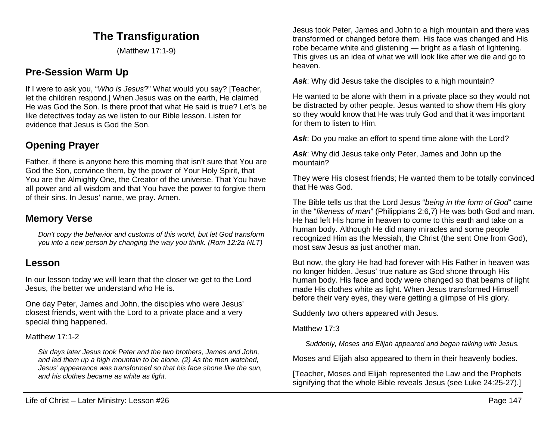# **The Transfiguration**

(Matthew 17:1-9)

# **Pre-Session Warm Up**

If I were to ask you, "*Who is Jesus*?" What would you say? [Teacher, let the children respond.] When Jesus was on the earth, He claimed He was God the Son. Is there proof that what He said is true? Let's be like detectives today as we listen to our Bible lesson. Listen for evidence that Jesus is God the Son.

# **Opening Prayer**

Father, if there is anyone here this morning that isn't sure that You are God the Son, convince them, by the power of Your Holy Spirit, that You are the Almighty One, the Creator of the universe. That You have all power and all wisdom and that You have the power to forgive them of their sins. In Jesus' name, we pray. Amen.

## **Memory Verse**

*Don't copy the behavior and customs of this world, but let God transform you into a new person by changing the way you think. (Rom 12:2a NLT)*

### **Lesson**

In our lesson today we will learn that the closer we get to the Lord Jesus, the better we understand who He is.

One day Peter, James and John, the disciples who were Jesus' closest friends, went with the Lord to a private place and a very special thing happened.

### Matthew 17:1-2

*Six days later Jesus took Peter and the two brothers, James and John, and led them up a high mountain to be alone. (2) As the men watched, Jesus' appearance was transformed so that his face shone like the sun, and his clothes became as white as light.*

Jesus took Peter, James and John to a high mountain and there was transformed or changed before them. His face was changed and His robe became white and glistening — bright as a flash of lightening. This gives us an idea of what we will look like after we die and go to heaven.

*Ask*: Why did Jesus take the disciples to a high mountain?

He wanted to be alone with them in a private place so they would not be distracted by other people. Jesus wanted to show them His glory so they would know that He was truly God and that it was important for them to listen to Him.

*Ask*: Do you make an effort to spend time alone with the Lord?

*Ask*: Why did Jesus take only Peter, James and John up the mountain?

They were His closest friends; He wanted them to be totally convinced that He was God.

The Bible tells us that the Lord Jesus "*being in the form of God*" came in the "*likeness of man*" (Philippians 2:6,7) He was both God and man. He had left His home in heaven to come to this earth and take on a human body. Although He did many miracles and some people recognized Him as the Messiah, the Christ (the sent One from God), most saw Jesus as just another man.

But now, the glory He had had forever with His Father in heaven was no longer hidden. Jesus' true nature as God shone through His human body. His face and body were changed so that beams of light made His clothes white as light. When Jesus transformed Himself before their very eyes, they were getting a glimpse of His glory.

Suddenly two others appeared with Jesus.

Matthew 17:3

*Suddenly, Moses and Elijah appeared and began talking with Jesus.*

Moses and Elijah also appeared to them in their heavenly bodies.

[Teacher, Moses and Elijah represented the Law and the Prophets signifying that the whole Bible reveals Jesus (see Luke 24:25-27).]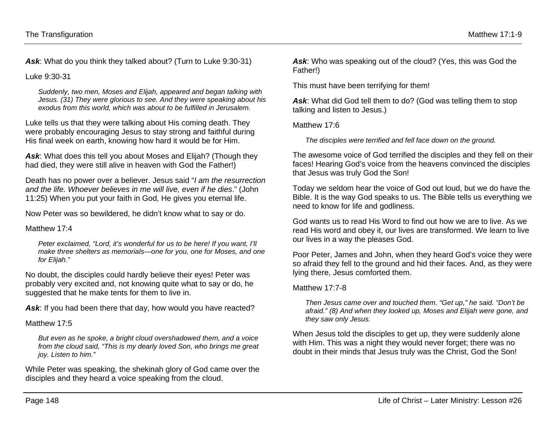*Ask*: What do you think they talked about? (Turn to Luke 9:30-31)

Luke 9:30-31

*Suddenly, two men, Moses and Elijah, appeared and began talking with Jesus. (31) They were glorious to see. And they were speaking about his exodus from this world, which was about to be fulfilled in Jerusalem.*

Luke tells us that they were talking about His coming death. They were probably encouraging Jesus to stay strong and faithful during His final week on earth, knowing how hard it would be for Him.

*Ask*: What does this tell you about Moses and Elijah? (Though they had died, they were still alive in heaven with God the Father!)

Death has no power over a believer. Jesus said "*I am the resurrection and the life. Whoever believes in me will live, even if he dies*." (John 11:25) When you put your faith in God, He gives you eternal life.

Now Peter was so bewildered, he didn't know what to say or do.

Matthew 17<sup>.</sup>4

*Peter exclaimed, "Lord, it's wonderful for us to be here! If you want, I'll make three shelters as memorials—one for you, one for Moses, and one for Elijah."*

No doubt, the disciples could hardly believe their eyes! Peter was probably very excited and, not knowing quite what to say or do, he suggested that he make tents for them to live in.

Ask: If you had been there that day, how would you have reacted?

Matthew 17:5

*But even as he spoke, a bright cloud overshadowed them, and a voice from the cloud said, "This is my dearly loved Son, who brings me great joy. Listen to him."*

While Peter was speaking, the shekinah glory of God came over the disciples and they heard a voice speaking from the cloud.

*Ask*: Who was speaking out of the cloud? (Yes, this was God the Father!)

This must have been terrifying for them!

Ask: What did God tell them to do? (God was telling them to stop talking and listen to Jesus.)

Matthew 17<sup>.6</sup>

*The disciples were terrified and fell face down on the ground.*

The awesome voice of God terrified the disciples and they fell on their faces! Hearing God's voice from the heavens convinced the disciples that Jesus was truly God the Son!

Today we seldom hear the voice of God out loud, but we do have the Bible. It is the way God speaks to us. The Bible tells us everything we need to know for life and godliness.

God wants us to read His Word to find out how we are to live. As we read His word and obey it, our lives are transformed. We learn to live our lives in a way the pleases God.

Poor Peter, James and John, when they heard God's voice they were so afraid they fell to the ground and hid their faces. And, as they were lying there, Jesus comforted them.

Matthew 17:7-8

*Then Jesus came over and touched them. "Get up," he said. "Don't be afraid." (8) And when they looked up, Moses and Elijah were gone, and they saw only Jesus.*

When Jesus told the disciples to get up, they were suddenly alone with Him. This was a night they would never forget; there was no doubt in their minds that Jesus truly was the Christ, God the Son!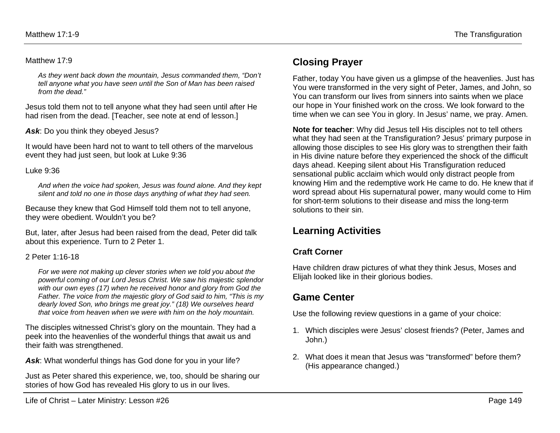#### Matthew 17:9

*As they went back down the mountain, Jesus commanded them, "Don't tell anyone what you have seen until the Son of Man has been raised from the dead."*

Jesus told them not to tell anyone what they had seen until after He had risen from the dead. [Teacher, see note at end of lesson.]

Ask: Do you think they obeyed Jesus?

It would have been hard not to want to tell others of the marvelous event they had just seen, but look at Luke 9:36

#### Luke 9:36

*And when the voice had spoken, Jesus was found alone. And they kept silent and told no one in those days anything of what they had seen.*

Because they knew that God Himself told them not to tell anyone, they were obedient. Wouldn't you be?

But, later, after Jesus had been raised from the dead, Peter did talk about this experience. Turn to 2 Peter 1.

#### 2 Peter 1:16-18

*For we were not making up clever stories when we told you about the powerful coming of our Lord Jesus Christ. We saw his majestic splendor with our own eyes (17) when he received honor and glory from God the Father. The voice from the majestic glory of God said to him, "This is my dearly loved Son, who brings me great joy." (18) We ourselves heard that voice from heaven when we were with him on the holy mountain.*

The disciples witnessed Christ's glory on the mountain. They had a peek into the heavenlies of the wonderful things that await us and their faith was strengthened.

Ask: What wonderful things has God done for you in your life?

Just as Peter shared this experience, we, too, should be sharing our stories of how God has revealed His glory to us in our lives.

## **Closing Prayer**

Father, today You have given us a glimpse of the heavenlies. Just has You were transformed in the very sight of Peter, James, and John, so You can transform our lives from sinners into saints when we place our hope in Your finished work on the cross. We look forward to the time when we can see You in glory. In Jesus' name, we pray. Amen.

**Note for teacher**: Why did Jesus tell His disciples not to tell others what they had seen at the Transfiguration? Jesus' primary purpose in allowing those disciples to see His glory was to strengthen their faith in His divine nature before they experienced the shock of the difficult days ahead. Keeping silent about His Transfiguration reduced sensational public acclaim which would only distract people from knowing Him and the redemptive work He came to do. He knew that if word spread about His supernatural power, many would come to Him for short-term solutions to their disease and miss the long-term solutions to their sin.

## **Learning Activities**

### **Craft Corner**

Have children draw pictures of what they think Jesus, Moses and Elijah looked like in their glorious bodies.

## **Game Center**

Use the following review questions in a game of your choice:

- 1. Which disciples were Jesus' closest friends? (Peter, James and John.)
- 2. What does it mean that Jesus was "transformed" before them? (His appearance changed.)